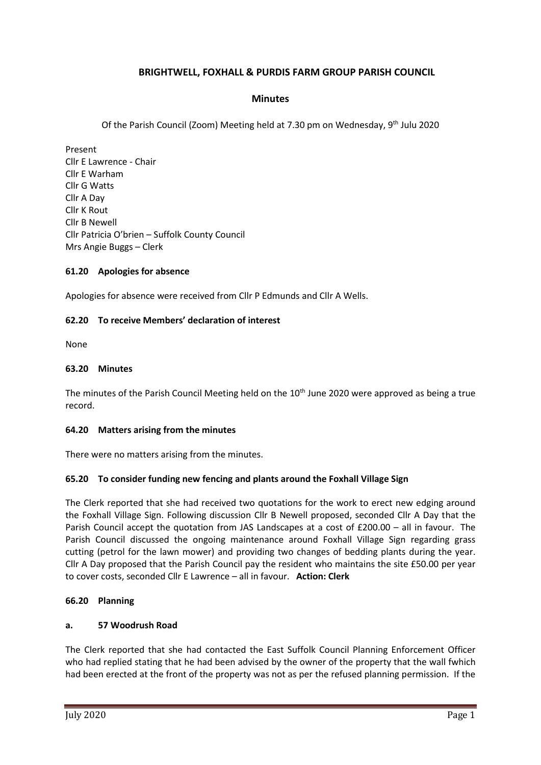# **BRIGHTWELL, FOXHALL & PURDIS FARM GROUP PARISH COUNCIL**

### **Minutes**

Of the Parish Council (Zoom) Meeting held at 7.30 pm on Wednesday, 9<sup>th</sup> Julu 2020

Present Cllr E Lawrence - Chair Cllr E Warham Cllr G Watts Cllr A Day Cllr K Rout Cllr B Newell Cllr Patricia O'brien – Suffolk County Council Mrs Angie Buggs – Clerk

### **61.20 Apologies for absence**

Apologies for absence were received from Cllr P Edmunds and Cllr A Wells.

### **62.20 To receive Members' declaration of interest**

None

### **63.20 Minutes**

The minutes of the Parish Council Meeting held on the 10<sup>th</sup> June 2020 were approved as being a true record.

### **64.20 Matters arising from the minutes**

There were no matters arising from the minutes.

### **65.20 To consider funding new fencing and plants around the Foxhall Village Sign**

The Clerk reported that she had received two quotations for the work to erect new edging around the Foxhall Village Sign. Following discussion Cllr B Newell proposed, seconded Cllr A Day that the Parish Council accept the quotation from JAS Landscapes at a cost of £200.00 – all in favour. The Parish Council discussed the ongoing maintenance around Foxhall Village Sign regarding grass cutting (petrol for the lawn mower) and providing two changes of bedding plants during the year. Cllr A Day proposed that the Parish Council pay the resident who maintains the site £50.00 per year to cover costs, seconded Cllr E Lawrence – all in favour. **Action: Clerk**

### **66.20 Planning**

### **a. 57 Woodrush Road**

The Clerk reported that she had contacted the East Suffolk Council Planning Enforcement Officer who had replied stating that he had been advised by the owner of the property that the wall fwhich had been erected at the front of the property was not as per the refused planning permission. If the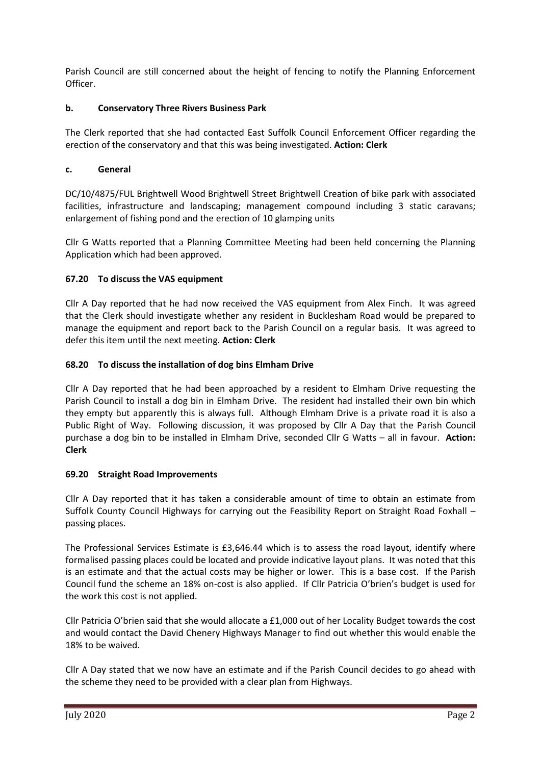Parish Council are still concerned about the height of fencing to notify the Planning Enforcement Officer.

## **b. Conservatory Three Rivers Business Park**

The Clerk reported that she had contacted East Suffolk Council Enforcement Officer regarding the erection of the conservatory and that this was being investigated. **Action: Clerk**

## **c. General**

DC/10/4875/FUL Brightwell Wood Brightwell Street Brightwell Creation of bike park with associated facilities, infrastructure and landscaping; management compound including 3 static caravans; enlargement of fishing pond and the erection of 10 glamping units

Cllr G Watts reported that a Planning Committee Meeting had been held concerning the Planning Application which had been approved.

## **67.20 To discuss the VAS equipment**

Cllr A Day reported that he had now received the VAS equipment from Alex Finch. It was agreed that the Clerk should investigate whether any resident in Bucklesham Road would be prepared to manage the equipment and report back to the Parish Council on a regular basis. It was agreed to defer this item until the next meeting. **Action: Clerk**

## **68.20 To discuss the installation of dog bins Elmham Drive**

Cllr A Day reported that he had been approached by a resident to Elmham Drive requesting the Parish Council to install a dog bin in Elmham Drive. The resident had installed their own bin which they empty but apparently this is always full. Although Elmham Drive is a private road it is also a Public Right of Way. Following discussion, it was proposed by Cllr A Day that the Parish Council purchase a dog bin to be installed in Elmham Drive, seconded Cllr G Watts – all in favour. **Action: Clerk**

## **69.20 Straight Road Improvements**

Cllr A Day reported that it has taken a considerable amount of time to obtain an estimate from Suffolk County Council Highways for carrying out the Feasibility Report on Straight Road Foxhall – passing places.

The Professional Services Estimate is £3,646.44 which is to assess the road layout, identify where formalised passing places could be located and provide indicative layout plans. It was noted that this is an estimate and that the actual costs may be higher or lower. This is a base cost. If the Parish Council fund the scheme an 18% on-cost is also applied. If Cllr Patricia O'brien's budget is used for the work this cost is not applied.

Cllr Patricia O'brien said that she would allocate a £1,000 out of her Locality Budget towards the cost and would contact the David Chenery Highways Manager to find out whether this would enable the 18% to be waived.

Cllr A Day stated that we now have an estimate and if the Parish Council decides to go ahead with the scheme they need to be provided with a clear plan from Highways.